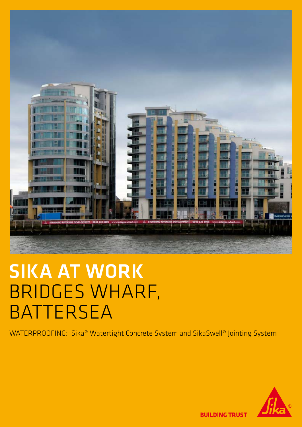

## SIKA AT WORK BRIDGES WHARF, BATTERSEA

WATERPROOFING: Sika® Watertight Concrete System and SikaSwell® Jointing System



**BUILDING TRUST**